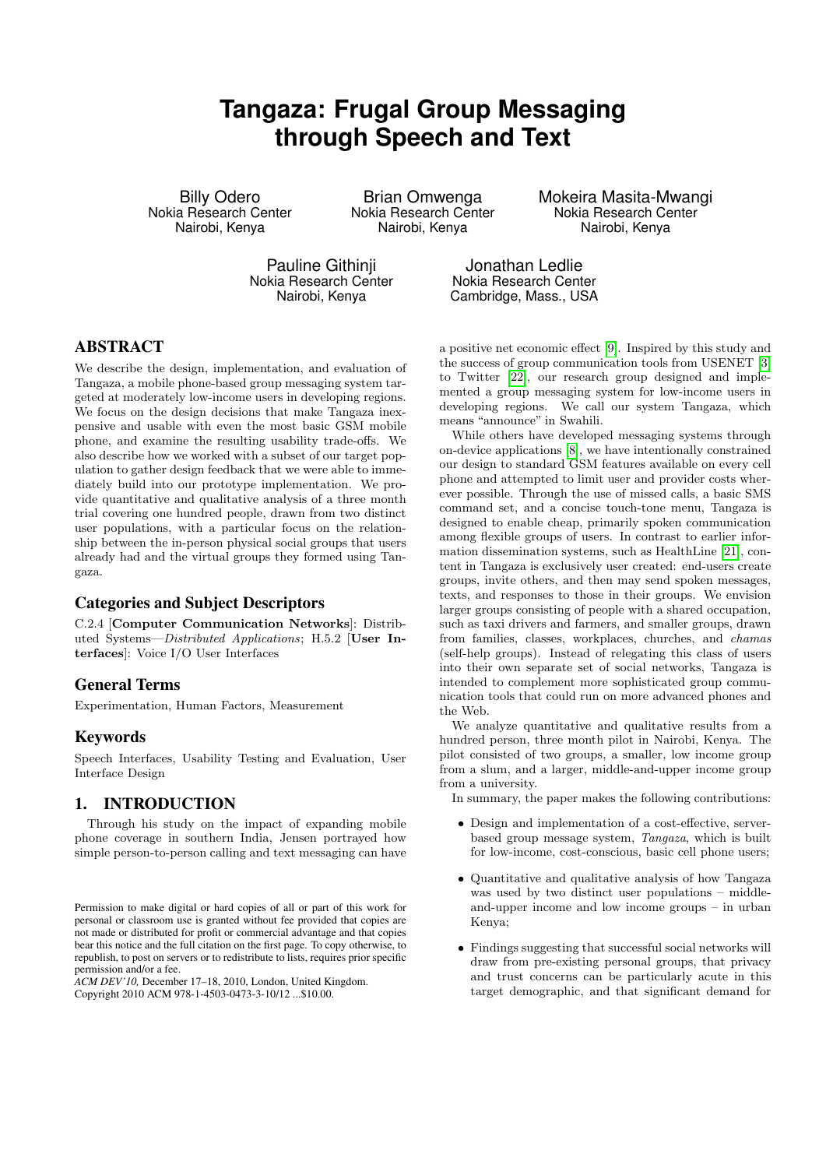# **Tangaza: Frugal Group Messaging through Speech and Text**

Billy Odero Nokia Research Center Nairobi, Kenya

Brian Omwenga Nokia Research Center Nairobi, Kenya

Mokeira Masita-Mwangi Nokia Research Center Nairobi, Kenya

Pauline Githinji Nokia Research Center Nairobi, Kenya

Jonathan Ledlie Nokia Research Center Cambridge, Mass., USA

# ABSTRACT

We describe the design, implementation, and evaluation of Tangaza, a mobile phone-based group messaging system targeted at moderately low-income users in developing regions. We focus on the design decisions that make Tangaza inexpensive and usable with even the most basic GSM mobile phone, and examine the resulting usability trade-offs. We also describe how we worked with a subset of our target population to gather design feedback that we were able to immediately build into our prototype implementation. We provide quantitative and qualitative analysis of a three month trial covering one hundred people, drawn from two distinct user populations, with a particular focus on the relationship between the in-person physical social groups that users already had and the virtual groups they formed using Tangaza.

## Categories and Subject Descriptors

C.2.4 [Computer Communication Networks]: Distributed Systems—Distributed Applications; H.5.2 [User Interfaces]: Voice I/O User Interfaces

#### General Terms

Experimentation, Human Factors, Measurement

#### Keywords

Speech Interfaces, Usability Testing and Evaluation, User Interface Design

# <span id="page-0-0"></span>1. INTRODUCTION

Through his study on the impact of expanding mobile phone coverage in southern India, Jensen portrayed how simple person-to-person calling and text messaging can have

*ACM DEV'10,* December 17–18, 2010, London, United Kingdom. Copyright 2010 ACM 978-1-4503-0473-3-10/12 ...\$10.00.

a positive net economic effect [\[9\]](#page-9-0). Inspired by this study and the success of group communication tools from USENET [\[3\]](#page-8-0) to Twitter [\[22\]](#page-9-1), our research group designed and implemented a group messaging system for low-income users in developing regions. We call our system Tangaza, which means "announce" in Swahili.

While others have developed messaging systems through on-device applications [\[8\]](#page-9-2), we have intentionally constrained our design to standard GSM features available on every cell phone and attempted to limit user and provider costs wherever possible. Through the use of missed calls, a basic SMS command set, and a concise touch-tone menu, Tangaza is designed to enable cheap, primarily spoken communication among flexible groups of users. In contrast to earlier information dissemination systems, such as HealthLine [\[21\]](#page-9-3), content in Tangaza is exclusively user created: end-users create groups, invite others, and then may send spoken messages, texts, and responses to those in their groups. We envision larger groups consisting of people with a shared occupation, such as taxi drivers and farmers, and smaller groups, drawn from families, classes, workplaces, churches, and chamas (self-help groups). Instead of relegating this class of users into their own separate set of social networks, Tangaza is intended to complement more sophisticated group communication tools that could run on more advanced phones and the Web.

We analyze quantitative and qualitative results from a hundred person, three month pilot in Nairobi, Kenya. The pilot consisted of two groups, a smaller, low income group from a slum, and a larger, middle-and-upper income group from a university.

In summary, the paper makes the following contributions:

- Design and implementation of a cost-effective, serverbased group message system, Tangaza, which is built for low-income, cost-conscious, basic cell phone users;
- Quantitative and qualitative analysis of how Tangaza was used by two distinct user populations – middleand-upper income and low income groups – in urban Kenya;
- Findings suggesting that successful social networks will draw from pre-existing personal groups, that privacy and trust concerns can be particularly acute in this target demographic, and that significant demand for

Permission to make digital or hard copies of all or part of this work for personal or classroom use is granted without fee provided that copies are not made or distributed for profit or commercial advantage and that copies bear this notice and the full citation on the first page. To copy otherwise, to republish, to post on servers or to redistribute to lists, requires prior specific permission and/or a fee.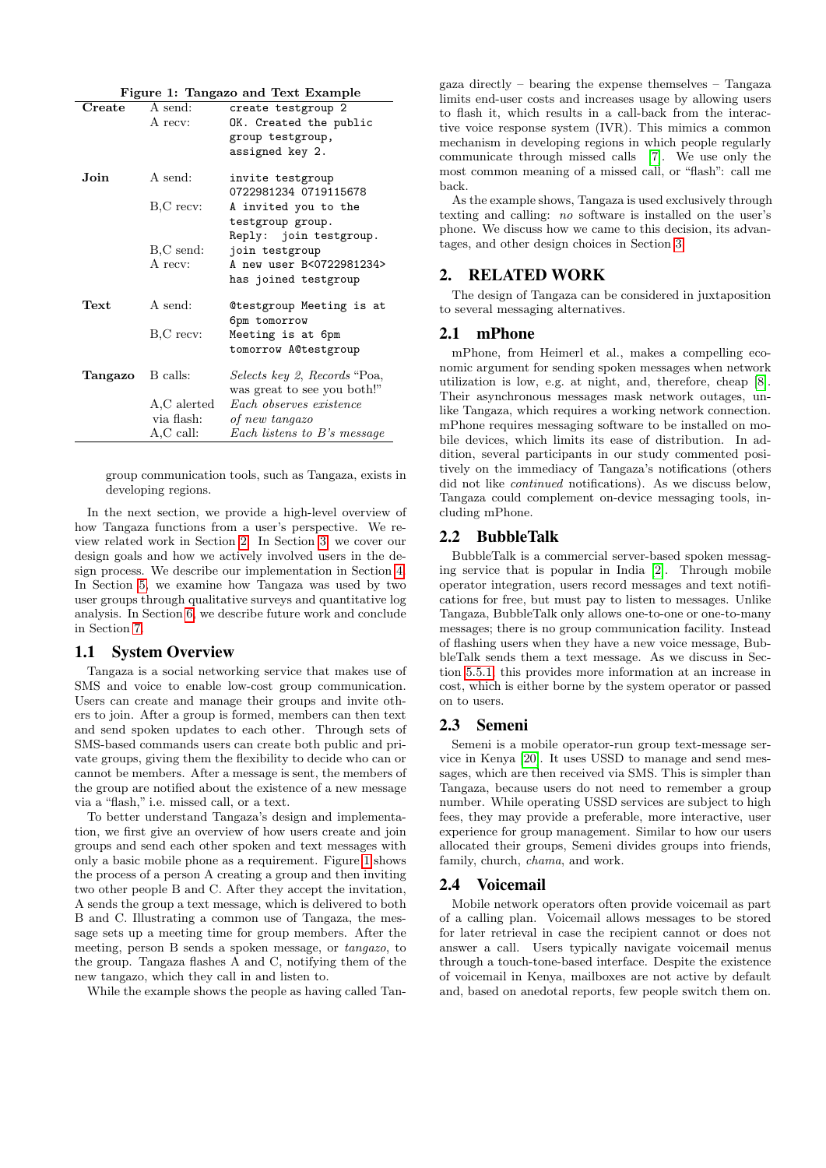<span id="page-1-1"></span>

| -0                    | っ           |                                                 |
|-----------------------|-------------|-------------------------------------------------|
| Create                | A send:     | create testgroup 2                              |
|                       | A recv:     | OK. Created the public                          |
|                       |             | group testgroup,                                |
|                       |             | assigned key 2.                                 |
| Join                  | A send:     | invite testgroup<br>0722981234 0719115678       |
|                       |             |                                                 |
|                       | B,C recv:   | A invited you to the                            |
|                       |             | testgroup group.                                |
|                       |             | Reply: join testgroup.                          |
|                       | B,C send:   | join testgroup                                  |
|                       | A recv:     | A new user B<0722981234>                        |
|                       |             | has joined testgroup                            |
| $\operatorname{Text}$ | A send:     | <b>Ctestgroup Meeting is at</b><br>6pm tomorrow |
|                       | B,C recv:   | Meeting is at 6pm                               |
|                       |             | tomorrow A@testgroup                            |
| Tangazo               | B calls:    | <i>Selects key 2, Records</i> "Poa,             |
|                       |             | was great to see you both!"                     |
|                       | A,C alerted | Each observes existence                         |
|                       | via flash:  | of new tangazo                                  |
|                       | A,C call:   | Each listens to B's message                     |

Figure 1: Tangazo and Text Example

group communication tools, such as Tangaza, exists in developing regions.

In the next section, we provide a high-level overview of how Tangaza functions from a user's perspective. We review related work in Section [2.](#page-1-0) In Section [3,](#page-2-0) we cover our design goals and how we actively involved users in the design process. We describe our implementation in Section [4.](#page-4-0) In Section [5,](#page-5-0) we examine how Tangaza was used by two user groups through qualitative surveys and quantitative log analysis. In Section [6,](#page-8-1) we describe future work and conclude in Section [7.](#page-8-2)

# 1.1 System Overview

Tangaza is a social networking service that makes use of SMS and voice to enable low-cost group communication. Users can create and manage their groups and invite others to join. After a group is formed, members can then text and send spoken updates to each other. Through sets of SMS-based commands users can create both public and private groups, giving them the flexibility to decide who can or cannot be members. After a message is sent, the members of the group are notified about the existence of a new message via a "flash," i.e. missed call, or a text.

To better understand Tangaza's design and implementation, we first give an overview of how users create and join groups and send each other spoken and text messages with only a basic mobile phone as a requirement. Figure [1](#page-1-1) shows the process of a person A creating a group and then inviting two other people B and C. After they accept the invitation, A sends the group a text message, which is delivered to both B and C. Illustrating a common use of Tangaza, the message sets up a meeting time for group members. After the meeting, person B sends a spoken message, or tangazo, to the group. Tangaza flashes A and C, notifying them of the new tangazo, which they call in and listen to.

While the example shows the people as having called Tan-

gaza directly – bearing the expense themselves – Tangaza limits end-user costs and increases usage by allowing users to flash it, which results in a call-back from the interactive voice response system (IVR). This mimics a common mechanism in developing regions in which people regularly communicate through missed calls [\[7\]](#page-9-4). We use only the most common meaning of a missed call, or "flash": call me back.

As the example shows, Tangaza is used exclusively through texting and calling: no software is installed on the user's phone. We discuss how we came to this decision, its advantages, and other design choices in Section [3.](#page-2-0)

# <span id="page-1-0"></span>2. RELATED WORK

The design of Tangaza can be considered in juxtaposition to several messaging alternatives.

## 2.1 mPhone

mPhone, from Heimerl et al., makes a compelling economic argument for sending spoken messages when network utilization is low, e.g. at night, and, therefore, cheap [\[8\]](#page-9-2). Their asynchronous messages mask network outages, unlike Tangaza, which requires a working network connection. mPhone requires messaging software to be installed on mobile devices, which limits its ease of distribution. In addition, several participants in our study commented positively on the immediacy of Tangaza's notifications (others did not like continued notifications). As we discuss below, Tangaza could complement on-device messaging tools, including mPhone.

## 2.2 BubbleTalk

BubbleTalk is a commercial server-based spoken messaging service that is popular in India [\[2\]](#page-8-3). Through mobile operator integration, users record messages and text notifications for free, but must pay to listen to messages. Unlike Tangaza, BubbleTalk only allows one-to-one or one-to-many messages; there is no group communication facility. Instead of flashing users when they have a new voice message, BubbleTalk sends them a text message. As we discuss in Section [5.5.1,](#page-7-0) this provides more information at an increase in cost, which is either borne by the system operator or passed on to users.

#### 2.3 Semeni

Semeni is a mobile operator-run group text-message service in Kenya [\[20\]](#page-9-5). It uses USSD to manage and send messages, which are then received via SMS. This is simpler than Tangaza, because users do not need to remember a group number. While operating USSD services are subject to high fees, they may provide a preferable, more interactive, user experience for group management. Similar to how our users allocated their groups, Semeni divides groups into friends, family, church, chama, and work.

#### 2.4 Voicemail

Mobile network operators often provide voicemail as part of a calling plan. Voicemail allows messages to be stored for later retrieval in case the recipient cannot or does not answer a call. Users typically navigate voicemail menus through a touch-tone-based interface. Despite the existence of voicemail in Kenya, mailboxes are not active by default and, based on anedotal reports, few people switch them on.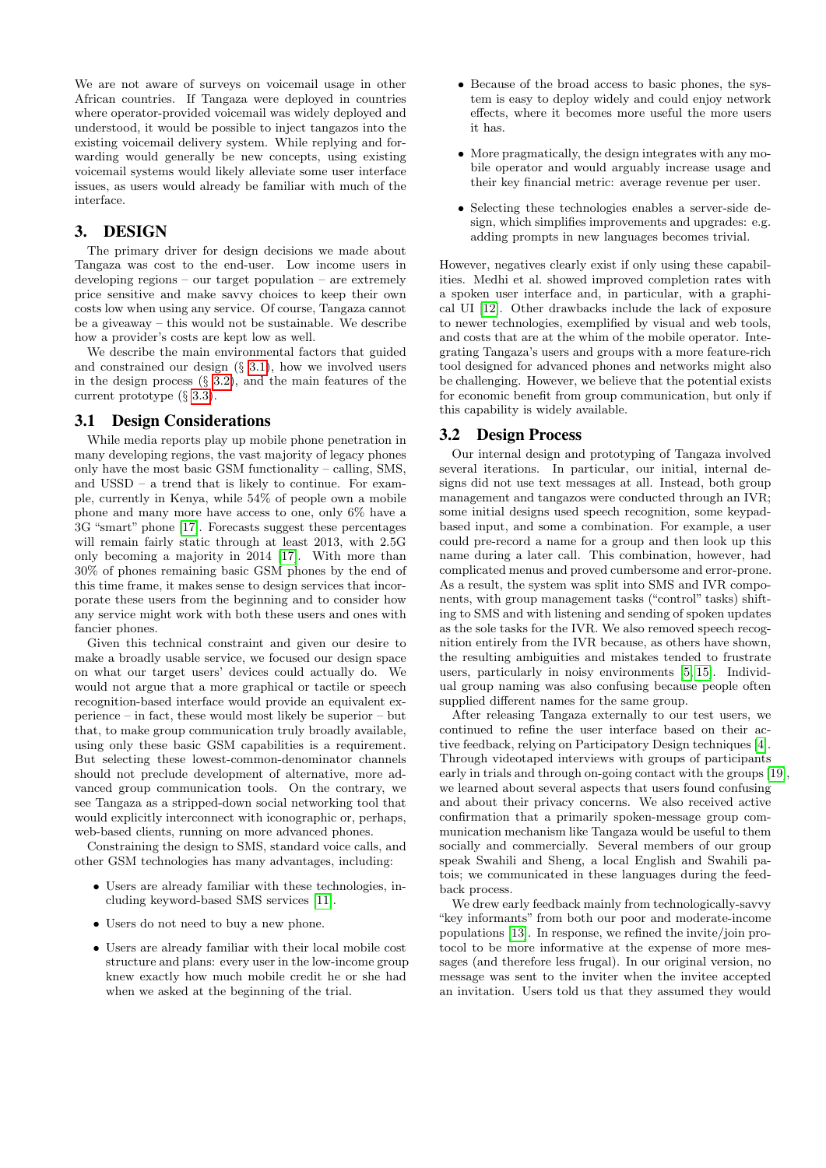We are not aware of surveys on voicemail usage in other African countries. If Tangaza were deployed in countries where operator-provided voicemail was widely deployed and understood, it would be possible to inject tangazos into the existing voicemail delivery system. While replying and forwarding would generally be new concepts, using existing voicemail systems would likely alleviate some user interface issues, as users would already be familiar with much of the interface.

# <span id="page-2-0"></span>3. DESIGN

The primary driver for design decisions we made about Tangaza was cost to the end-user. Low income users in developing regions – our target population – are extremely price sensitive and make savvy choices to keep their own costs low when using any service. Of course, Tangaza cannot be a giveaway – this would not be sustainable. We describe how a provider's costs are kept low as well.

We describe the main environmental factors that guided and constrained our design  $(\S$  [3.1\)](#page-2-1), how we involved users in the design process  $(\S 3.2)$  $(\S 3.2)$ , and the main features of the current prototype (§ [3.3\)](#page-3-0).

## <span id="page-2-1"></span>3.1 Design Considerations

While media reports play up mobile phone penetration in many developing regions, the vast majority of legacy phones only have the most basic GSM functionality – calling, SMS, and USSD – a trend that is likely to continue. For example, currently in Kenya, while 54% of people own a mobile phone and many more have access to one, only 6% have a 3G "smart" phone [\[17\]](#page-9-6). Forecasts suggest these percentages will remain fairly static through at least 2013, with 2.5G only becoming a majority in 2014 [\[17\]](#page-9-6). With more than 30% of phones remaining basic GSM phones by the end of this time frame, it makes sense to design services that incorporate these users from the beginning and to consider how any service might work with both these users and ones with fancier phones.

Given this technical constraint and given our desire to make a broadly usable service, we focused our design space on what our target users' devices could actually do. We would not argue that a more graphical or tactile or speech recognition-based interface would provide an equivalent experience – in fact, these would most likely be superior – but that, to make group communication truly broadly available, using only these basic GSM capabilities is a requirement. But selecting these lowest-common-denominator channels should not preclude development of alternative, more advanced group communication tools. On the contrary, we see Tangaza as a stripped-down social networking tool that would explicitly interconnect with iconographic or, perhaps, web-based clients, running on more advanced phones.

Constraining the design to SMS, standard voice calls, and other GSM technologies has many advantages, including:

- Users are already familiar with these technologies, including keyword-based SMS services [\[11\]](#page-9-7).
- Users do not need to buy a new phone.
- Users are already familiar with their local mobile cost structure and plans: every user in the low-income group knew exactly how much mobile credit he or she had when we asked at the beginning of the trial.
- Because of the broad access to basic phones, the system is easy to deploy widely and could enjoy network effects, where it becomes more useful the more users it has.
- More pragmatically, the design integrates with any mobile operator and would arguably increase usage and their key financial metric: average revenue per user.
- Selecting these technologies enables a server-side design, which simplifies improvements and upgrades: e.g. adding prompts in new languages becomes trivial.

However, negatives clearly exist if only using these capabilities. Medhi et al. showed improved completion rates with a spoken user interface and, in particular, with a graphical UI [\[12\]](#page-9-8). Other drawbacks include the lack of exposure to newer technologies, exemplified by visual and web tools, and costs that are at the whim of the mobile operator. Integrating Tangaza's users and groups with a more feature-rich tool designed for advanced phones and networks might also be challenging. However, we believe that the potential exists for economic benefit from group communication, but only if this capability is widely available.

#### <span id="page-2-2"></span>3.2 Design Process

Our internal design and prototyping of Tangaza involved several iterations. In particular, our initial, internal designs did not use text messages at all. Instead, both group management and tangazos were conducted through an IVR; some initial designs used speech recognition, some keypadbased input, and some a combination. For example, a user could pre-record a name for a group and then look up this name during a later call. This combination, however, had complicated menus and proved cumbersome and error-prone. As a result, the system was split into SMS and IVR components, with group management tasks ("control" tasks) shifting to SMS and with listening and sending of spoken updates as the sole tasks for the IVR. We also removed speech recognition entirely from the IVR because, as others have shown, the resulting ambiguities and mistakes tended to frustrate users, particularly in noisy environments [\[5,](#page-8-4) [15\]](#page-9-9). Individual group naming was also confusing because people often supplied different names for the same group.

After releasing Tangaza externally to our test users, we continued to refine the user interface based on their active feedback, relying on Participatory Design techniques [\[4\]](#page-8-5). Through videotaped interviews with groups of participants early in trials and through on-going contact with the groups [\[19\]](#page-9-10), we learned about several aspects that users found confusing and about their privacy concerns. We also received active confirmation that a primarily spoken-message group communication mechanism like Tangaza would be useful to them socially and commercially. Several members of our group speak Swahili and Sheng, a local English and Swahili patois; we communicated in these languages during the feedback process.

We drew early feedback mainly from technologically-savvy "key informants" from both our poor and moderate-income populations [\[13\]](#page-9-11). In response, we refined the invite/join protocol to be more informative at the expense of more messages (and therefore less frugal). In our original version, no message was sent to the inviter when the invitee accepted an invitation. Users told us that they assumed they would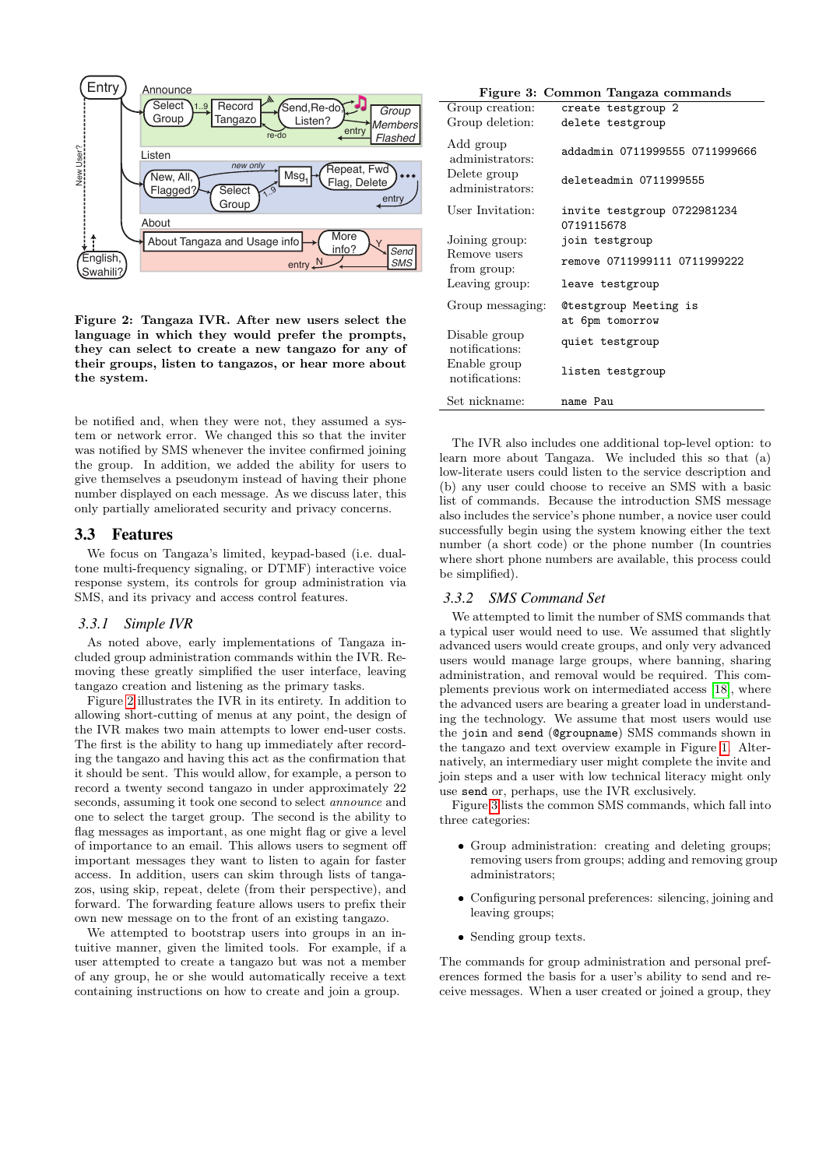

<span id="page-3-1"></span>Figure 2: Tangaza IVR. After new users select the language in which they would prefer the prompts, they can select to create a new tangazo for any of their groups, listen to tangazos, or hear more about the system.

be notified and, when they were not, they assumed a system or network error. We changed this so that the inviter was notified by SMS whenever the invitee confirmed joining the group. In addition, we added the ability for users to give themselves a pseudonym instead of having their phone number displayed on each message. As we discuss later, this only partially ameliorated security and privacy concerns.

#### <span id="page-3-0"></span>3.3 Features

We focus on Tangaza's limited, keypad-based (i.e. dualtone multi-frequency signaling, or DTMF) interactive voice response system, its controls for group administration via SMS, and its privacy and access control features.

#### *3.3.1 Simple IVR*

As noted above, early implementations of Tangaza included group administration commands within the IVR. Removing these greatly simplified the user interface, leaving tangazo creation and listening as the primary tasks.

Figure [2](#page-3-1) illustrates the IVR in its entirety. In addition to allowing short-cutting of menus at any point, the design of the IVR makes two main attempts to lower end-user costs. The first is the ability to hang up immediately after recording the tangazo and having this act as the confirmation that it should be sent. This would allow, for example, a person to record a twenty second tangazo in under approximately 22 seconds, assuming it took one second to select announce and one to select the target group. The second is the ability to flag messages as important, as one might flag or give a level of importance to an email. This allows users to segment off important messages they want to listen to again for faster access. In addition, users can skim through lists of tangazos, using skip, repeat, delete (from their perspective), and forward. The forwarding feature allows users to prefix their own new message on to the front of an existing tangazo.

We attempted to bootstrap users into groups in an intuitive manner, given the limited tools. For example, if a user attempted to create a tangazo but was not a member of any group, he or she would automatically receive a text containing instructions on how to create and join a group.

Figure 3: Common Tangaza commands

<span id="page-3-2"></span>

| Group creation:                                                 | create testgroup 2                                       |  |
|-----------------------------------------------------------------|----------------------------------------------------------|--|
|                                                                 |                                                          |  |
| Group deletion:                                                 | delete testgroup                                         |  |
| Add group<br>administrators:<br>Delete group<br>administrators: | addadmin 0711999555 0711999666<br>deleteadmin 0711999555 |  |
| User Invitation:                                                | invite testgroup 0722981234<br>0719115678                |  |
| Joining group:                                                  | join testgroup                                           |  |
|                                                                 |                                                          |  |
| Remove users<br>from group:                                     | remove 0711999111 0711999222                             |  |
| Leaving group:                                                  | leave testgroup                                          |  |
| Group messaging:                                                | <b>Ctestgroup Meeting is</b>                             |  |
|                                                                 | at 6pm tomorrow                                          |  |
| Disable group                                                   | quiet testgroup                                          |  |
| notifications:                                                  |                                                          |  |
| Enable group                                                    |                                                          |  |
| notifications:                                                  | listen testgroup                                         |  |
| Set nickname:                                                   | name Pau                                                 |  |

The IVR also includes one additional top-level option: to learn more about Tangaza. We included this so that (a) low-literate users could listen to the service description and (b) any user could choose to receive an SMS with a basic list of commands. Because the introduction SMS message also includes the service's phone number, a novice user could successfully begin using the system knowing either the text number (a short code) or the phone number (In countries where short phone numbers are available, this process could be simplified).

#### *3.3.2 SMS Command Set*

We attempted to limit the number of SMS commands that a typical user would need to use. We assumed that slightly advanced users would create groups, and only very advanced users would manage large groups, where banning, sharing administration, and removal would be required. This complements previous work on intermediated access [\[18\]](#page-9-12), where the advanced users are bearing a greater load in understanding the technology. We assume that most users would use the join and send (@groupname) SMS commands shown in the tangazo and text overview example in Figure [1.](#page-1-1) Alternatively, an intermediary user might complete the invite and join steps and a user with low technical literacy might only use send or, perhaps, use the IVR exclusively.

Figure [3](#page-3-2) lists the common SMS commands, which fall into three categories:

- Group administration: creating and deleting groups; removing users from groups; adding and removing group administrators;
- Configuring personal preferences: silencing, joining and leaving groups;
- Sending group texts.

The commands for group administration and personal preferences formed the basis for a user's ability to send and receive messages. When a user created or joined a group, they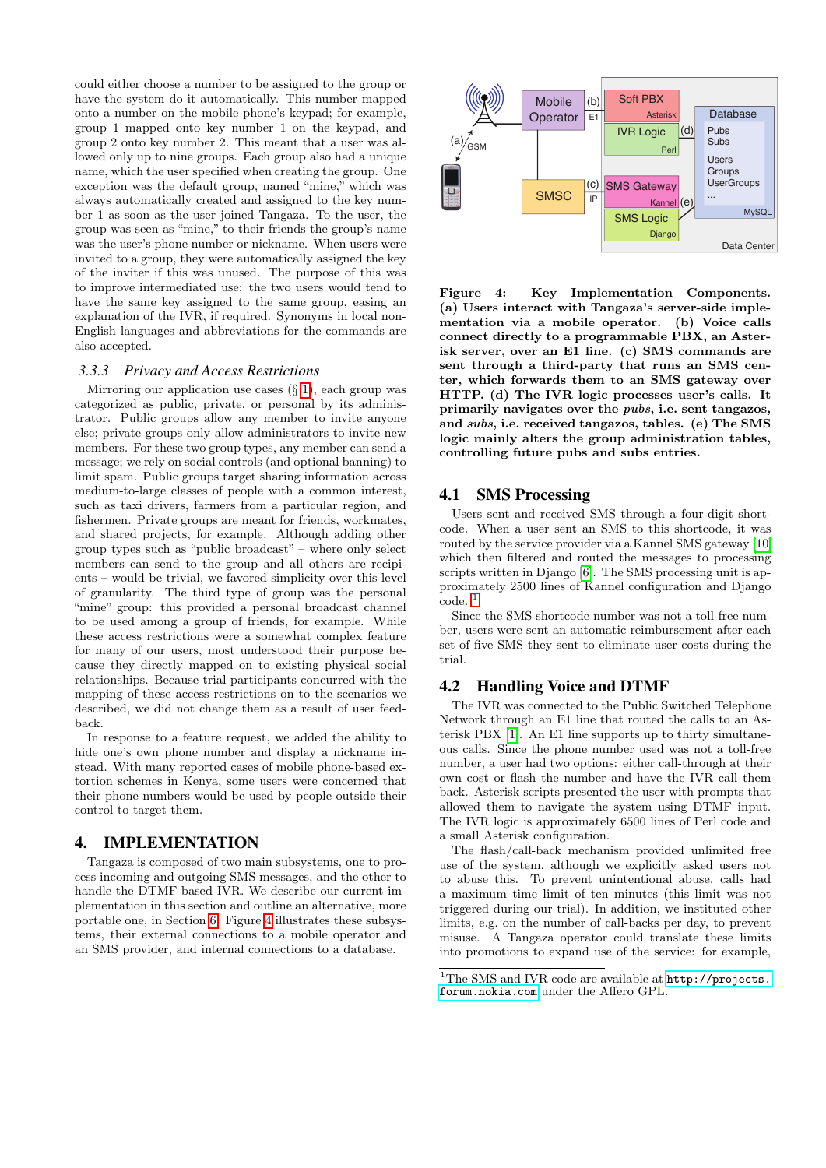could either choose a number to be assigned to the group or have the system do it automatically. This number mapped onto a number on the mobile phone's keypad; for example, group 1 mapped onto key number 1 on the keypad, and group 2 onto key number 2. This meant that a user was allowed only up to nine groups. Each group also had a unique name, which the user specified when creating the group. One exception was the default group, named "mine," which was always automatically created and assigned to the key number 1 as soon as the user joined Tangaza. To the user, the group was seen as "mine," to their friends the group's name was the user's phone number or nickname. When users were invited to a group, they were automatically assigned the key of the inviter if this was unused. The purpose of this was to improve intermediated use: the two users would tend to have the same key assigned to the same group, easing an explanation of the IVR, if required. Synonyms in local non-English languages and abbreviations for the commands are also accepted.

## *3.3.3 Privacy and Access Restrictions*

Mirroring our application use cases  $(\S 1)$  $(\S 1)$ , each group was categorized as public, private, or personal by its administrator. Public groups allow any member to invite anyone else; private groups only allow administrators to invite new members. For these two group types, any member can send a message; we rely on social controls (and optional banning) to limit spam. Public groups target sharing information across medium-to-large classes of people with a common interest, such as taxi drivers, farmers from a particular region, and fishermen. Private groups are meant for friends, workmates, and shared projects, for example. Although adding other group types such as "public broadcast" – where only select members can send to the group and all others are recipients – would be trivial, we favored simplicity over this level of granularity. The third type of group was the personal "mine" group: this provided a personal broadcast channel to be used among a group of friends, for example. While these access restrictions were a somewhat complex feature for many of our users, most understood their purpose because they directly mapped on to existing physical social relationships. Because trial participants concurred with the mapping of these access restrictions on to the scenarios we described, we did not change them as a result of user feedback.

In response to a feature request, we added the ability to hide one's own phone number and display a nickname instead. With many reported cases of mobile phone-based extortion schemes in Kenya, some users were concerned that their phone numbers would be used by people outside their control to target them.

## <span id="page-4-0"></span>4. IMPLEMENTATION

Tangaza is composed of two main subsystems, one to process incoming and outgoing SMS messages, and the other to handle the DTMF-based IVR. We describe our current implementation in this section and outline an alternative, more portable one, in Section [6.](#page-8-1) Figure [4](#page-4-1) illustrates these subsystems, their external connections to a mobile operator and an SMS provider, and internal connections to a database.



<span id="page-4-1"></span>Figure 4: Key Implementation Components. (a) Users interact with Tangaza's server-side implementation via a mobile operator. (b) Voice calls connect directly to a programmable PBX, an Asterisk server, over an E1 line. (c) SMS commands are sent through a third-party that runs an SMS center, which forwards them to an SMS gateway over HTTP. (d) The IVR logic processes user's calls. It primarily navigates over the pubs, i.e. sent tangazos, and subs, i.e. received tangazos, tables. (e) The SMS logic mainly alters the group administration tables, controlling future pubs and subs entries.

## 4.1 SMS Processing

Users sent and received SMS through a four-digit shortcode. When a user sent an SMS to this shortcode, it was routed by the service provider via a Kannel SMS gateway [\[10\]](#page-9-13) which then filtered and routed the messages to processing scripts written in Django [\[6\]](#page-9-14). The SMS processing unit is approximately 2500 lines of Kannel configuration and Django code. [1](#page-4-2)

Since the SMS shortcode number was not a toll-free number, users were sent an automatic reimbursement after each set of five SMS they sent to eliminate user costs during the trial.

# 4.2 Handling Voice and DTMF

The IVR was connected to the Public Switched Telephone Network through an E1 line that routed the calls to an Asterisk PBX [\[1\]](#page-8-6). An E1 line supports up to thirty simultaneous calls. Since the phone number used was not a toll-free number, a user had two options: either call-through at their own cost or flash the number and have the IVR call them back. Asterisk scripts presented the user with prompts that allowed them to navigate the system using DTMF input. The IVR logic is approximately 6500 lines of Perl code and a small Asterisk configuration.

The flash/call-back mechanism provided unlimited free use of the system, although we explicitly asked users not to abuse this. To prevent unintentional abuse, calls had a maximum time limit of ten minutes (this limit was not triggered during our trial). In addition, we instituted other limits, e.g. on the number of call-backs per day, to prevent misuse. A Tangaza operator could translate these limits into promotions to expand use of the service: for example,

<span id="page-4-2"></span><sup>&</sup>lt;sup>1</sup>The SMS and IVR code are available at [http://projects.](http://projects.forum.nokia.com) [forum.nokia.com](http://projects.forum.nokia.com) under the Affero GPL.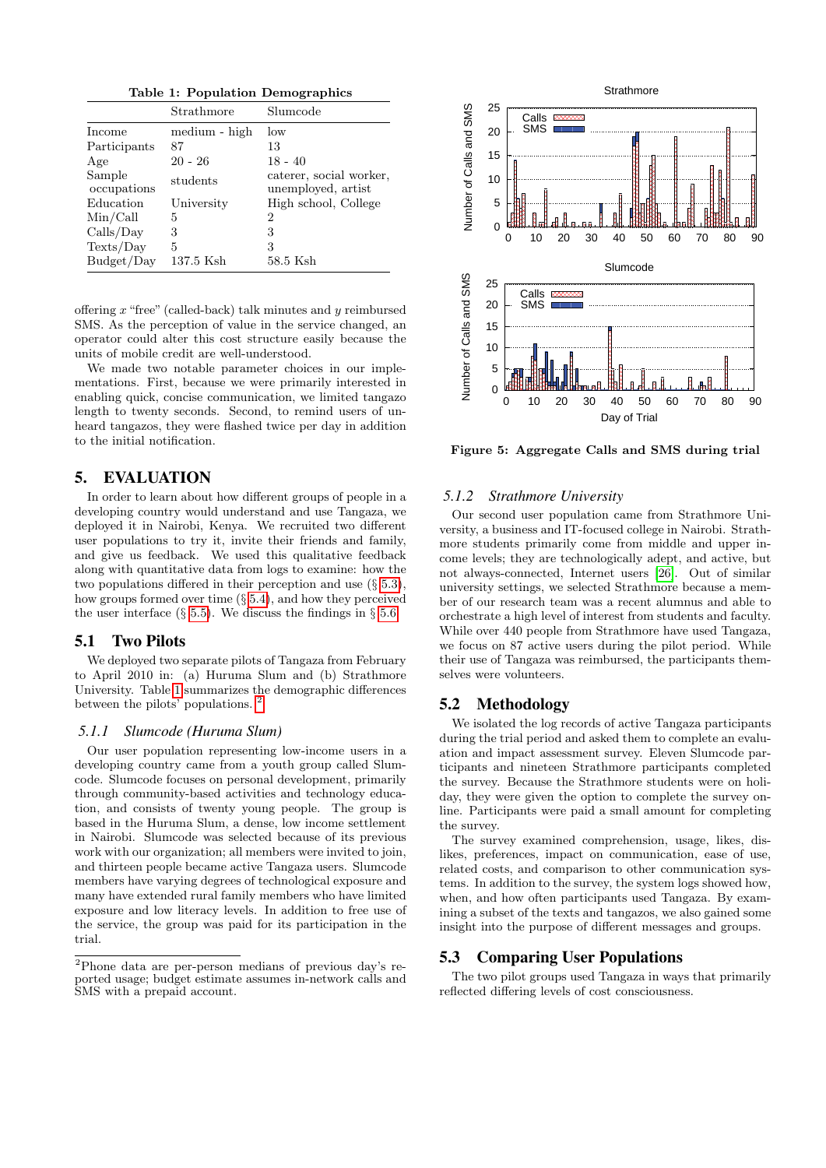Table 1: Population Demographics

<span id="page-5-2"></span>

|                       | Strathmore    | Slumcode                                      |
|-----------------------|---------------|-----------------------------------------------|
| Income                | medium - high | low                                           |
| Participants          | 87            | 13                                            |
| Age                   | $20 - 26$     | $18 - 40$                                     |
| Sample<br>occupations | students      | caterer, social worker,<br>unemployed, artist |
| Education             | University    | High school, College                          |
| Min/Call              | 5             | 2                                             |
| Calls/Day             | 3             | 3                                             |
| Texts/Day             | 5             | 3                                             |
| Budget/Day            | 137.5 Ksh     | 58.5 Ksh                                      |

offering  $x$  "free" (called-back) talk minutes and  $y$  reimbursed SMS. As the perception of value in the service changed, an operator could alter this cost structure easily because the units of mobile credit are well-understood.

We made two notable parameter choices in our implementations. First, because we were primarily interested in enabling quick, concise communication, we limited tangazo length to twenty seconds. Second, to remind users of unheard tangazos, they were flashed twice per day in addition to the initial notification.

## <span id="page-5-0"></span>5. EVALUATION

In order to learn about how different groups of people in a developing country would understand and use Tangaza, we deployed it in Nairobi, Kenya. We recruited two different user populations to try it, invite their friends and family, and give us feedback. We used this qualitative feedback along with quantitative data from logs to examine: how the two populations differed in their perception and use (§ [5.3\)](#page-5-1), how groups formed over time  $(\S 5.4)$  $(\S 5.4)$ , and how they perceived the user interface  $(\S 5.5)$  $(\S 5.5)$ . We discuss the findings in  $\S 5.6$ .

#### 5.1 Two Pilots

We deployed two separate pilots of Tangaza from February to April 2010 in: (a) Huruma Slum and (b) Strathmore University. Table [1](#page-5-2) summarizes the demographic differences between the pilots' populations. [2](#page-5-3)

#### *5.1.1 Slumcode (Huruma Slum)*

Our user population representing low-income users in a developing country came from a youth group called Slumcode. Slumcode focuses on personal development, primarily through community-based activities and technology education, and consists of twenty young people. The group is based in the Huruma Slum, a dense, low income settlement in Nairobi. Slumcode was selected because of its previous work with our organization; all members were invited to join, and thirteen people became active Tangaza users. Slumcode members have varying degrees of technological exposure and many have extended rural family members who have limited exposure and low literacy levels. In addition to free use of the service, the group was paid for its participation in the trial.



<span id="page-5-4"></span>Figure 5: Aggregate Calls and SMS during trial

#### *5.1.2 Strathmore University*

Our second user population came from Strathmore University, a business and IT-focused college in Nairobi. Strathmore students primarily come from middle and upper income levels; they are technologically adept, and active, but not always-connected, Internet users [\[26\]](#page-9-15). Out of similar university settings, we selected Strathmore because a member of our research team was a recent alumnus and able to orchestrate a high level of interest from students and faculty. While over 440 people from Strathmore have used Tangaza, we focus on 87 active users during the pilot period. While their use of Tangaza was reimbursed, the participants themselves were volunteers.

# 5.2 Methodology

We isolated the log records of active Tangaza participants during the trial period and asked them to complete an evaluation and impact assessment survey. Eleven Slumcode participants and nineteen Strathmore participants completed the survey. Because the Strathmore students were on holiday, they were given the option to complete the survey online. Participants were paid a small amount for completing the survey.

The survey examined comprehension, usage, likes, dislikes, preferences, impact on communication, ease of use, related costs, and comparison to other communication systems. In addition to the survey, the system logs showed how, when, and how often participants used Tangaza. By examining a subset of the texts and tangazos, we also gained some insight into the purpose of different messages and groups.

#### <span id="page-5-1"></span>5.3 Comparing User Populations

The two pilot groups used Tangaza in ways that primarily reflected differing levels of cost consciousness.

<span id="page-5-3"></span><sup>2</sup>Phone data are per-person medians of previous day's reported usage; budget estimate assumes in-network calls and SMS with a prepaid account.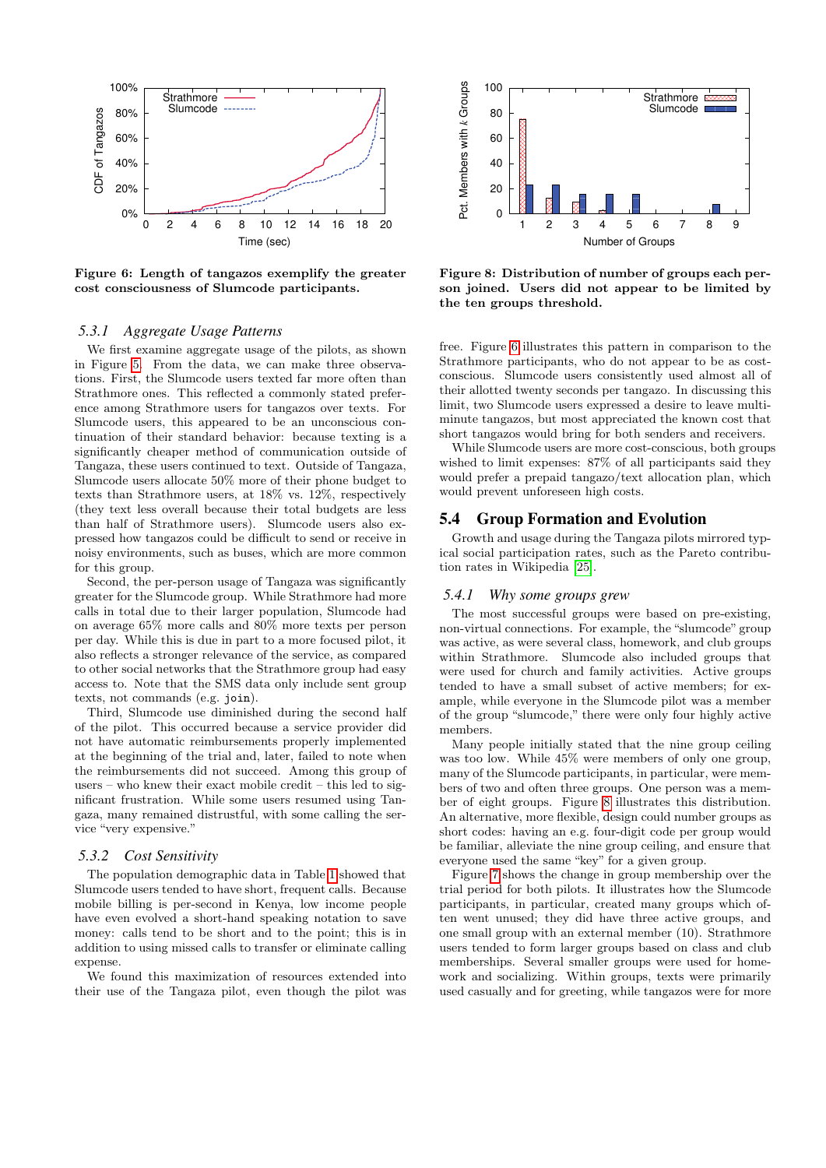

Figure 6: Length of tangazos exemplify the greater cost consciousness of Slumcode participants.

#### *5.3.1 Aggregate Usage Patterns*

We first examine aggregate usage of the pilots, as shown in Figure [5.](#page-5-4) From the data, we can make three observations. First, the Slumcode users texted far more often than Strathmore ones. This reflected a commonly stated preference among Strathmore users for tangazos over texts. For Slumcode users, this appeared to be an unconscious continuation of their standard behavior: because texting is a significantly cheaper method of communication outside of Tangaza, these users continued to text. Outside of Tangaza, Slumcode users allocate 50% more of their phone budget to texts than Strathmore users, at 18% vs. 12%, respectively (they text less overall because their total budgets are less than half of Strathmore users). Slumcode users also expressed how tangazos could be difficult to send or receive in noisy environments, such as buses, which are more common for this group.

Second, the per-person usage of Tangaza was significantly greater for the Slumcode group. While Strathmore had more calls in total due to their larger population, Slumcode had on average 65% more calls and 80% more texts per person per day. While this is due in part to a more focused pilot, it also reflects a stronger relevance of the service, as compared to other social networks that the Strathmore group had easy access to. Note that the SMS data only include sent group texts, not commands (e.g. join).

Third, Slumcode use diminished during the second half of the pilot. This occurred because a service provider did not have automatic reimbursements properly implemented at the beginning of the trial and, later, failed to note when the reimbursements did not succeed. Among this group of users – who knew their exact mobile credit – this led to significant frustration. While some users resumed using Tangaza, many remained distrustful, with some calling the service "very expensive."

#### *5.3.2 Cost Sensitivity*

The population demographic data in Table [1](#page-5-2) showed that Slumcode users tended to have short, frequent calls. Because mobile billing is per-second in Kenya, low income people have even evolved a short-hand speaking notation to save money: calls tend to be short and to the point; this is in addition to using missed calls to transfer or eliminate calling expense.

We found this maximization of resources extended into their use of the Tangaza pilot, even though the pilot was



<span id="page-6-2"></span><span id="page-6-1"></span>Figure 8: Distribution of number of groups each person joined. Users did not appear to be limited by the ten groups threshold.

free. Figure [6](#page-6-1) illustrates this pattern in comparison to the Strathmore participants, who do not appear to be as costconscious. Slumcode users consistently used almost all of their allotted twenty seconds per tangazo. In discussing this limit, two Slumcode users expressed a desire to leave multiminute tangazos, but most appreciated the known cost that short tangazos would bring for both senders and receivers.

While Slumcode users are more cost-conscious, both groups wished to limit expenses: 87% of all participants said they would prefer a prepaid tangazo/text allocation plan, which would prevent unforeseen high costs.

#### <span id="page-6-0"></span>5.4 Group Formation and Evolution

Growth and usage during the Tangaza pilots mirrored typical social participation rates, such as the Pareto contribution rates in Wikipedia [\[25\]](#page-9-16).

#### *5.4.1 Why some groups grew*

The most successful groups were based on pre-existing, non-virtual connections. For example, the "slumcode" group was active, as were several class, homework, and club groups within Strathmore. Slumcode also included groups that were used for church and family activities. Active groups tended to have a small subset of active members; for example, while everyone in the Slumcode pilot was a member of the group "slumcode," there were only four highly active members.

Many people initially stated that the nine group ceiling was too low. While 45% were members of only one group, many of the Slumcode participants, in particular, were members of two and often three groups. One person was a member of eight groups. Figure [8](#page-6-2) illustrates this distribution. An alternative, more flexible, design could number groups as short codes: having an e.g. four-digit code per group would be familiar, alleviate the nine group ceiling, and ensure that everyone used the same "key" for a given group.

Figure [7](#page-7-2) shows the change in group membership over the trial period for both pilots. It illustrates how the Slumcode participants, in particular, created many groups which often went unused; they did have three active groups, and one small group with an external member (10). Strathmore users tended to form larger groups based on class and club memberships. Several smaller groups were used for homework and socializing. Within groups, texts were primarily used casually and for greeting, while tangazos were for more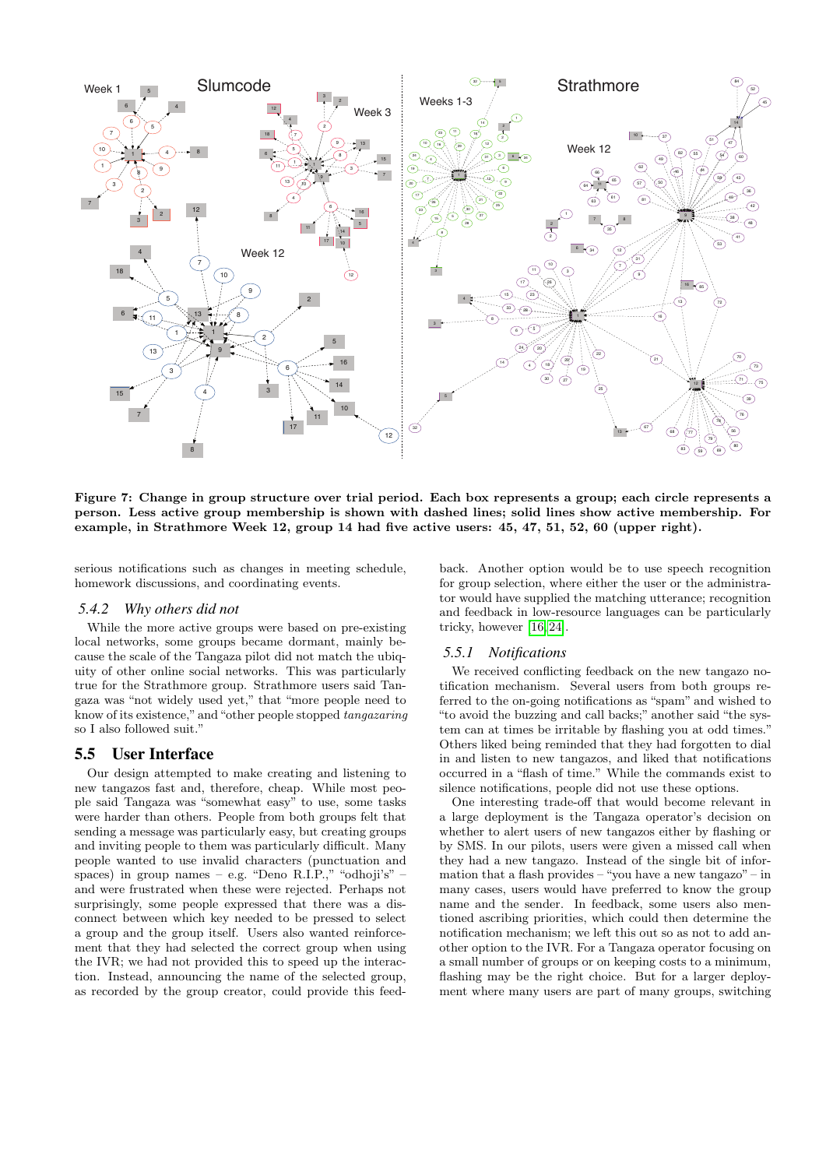

Figure 7: Change in group structure over trial period. Each box represents a group; each circle represents a person. Less active group membership is shown with dashed lines; solid lines show active membership. For example, in Strathmore Week 12, group 14 had five active users: 45, 47, 51, 52, 60 (upper right).

serious notifications such as changes in meeting schedule, homework discussions, and coordinating events.

#### *5.4.2 Why others did not*

While the more active groups were based on pre-existing local networks, some groups became dormant, mainly because the scale of the Tangaza pilot did not match the ubiquity of other online social networks. This was particularly true for the Strathmore group. Strathmore users said Tangaza was "not widely used yet," that "more people need to know of its existence," and"other people stopped tangazaring so I also followed suit."

#### <span id="page-7-1"></span>5.5 User Interface

Our design attempted to make creating and listening to new tangazos fast and, therefore, cheap. While most people said Tangaza was "somewhat easy" to use, some tasks were harder than others. People from both groups felt that sending a message was particularly easy, but creating groups and inviting people to them was particularly difficult. Many people wanted to use invalid characters (punctuation and spaces) in group names – e.g. "Deno R.I.P.," "odhoji's" – and were frustrated when these were rejected. Perhaps not surprisingly, some people expressed that there was a disconnect between which key needed to be pressed to select a group and the group itself. Users also wanted reinforcement that they had selected the correct group when using the IVR; we had not provided this to speed up the interaction. Instead, announcing the name of the selected group, as recorded by the group creator, could provide this feed-

<span id="page-7-2"></span>back. Another option would be to use speech recognition for group selection, where either the user or the administrator would have supplied the matching utterance; recognition and feedback in low-resource languages can be particularly tricky, however [\[16,](#page-9-17) [24\]](#page-9-18).

#### <span id="page-7-0"></span>*5.5.1 Notifications*

We received conflicting feedback on the new tangazo notification mechanism. Several users from both groups referred to the on-going notifications as "spam" and wished to "to avoid the buzzing and call backs;" another said "the system can at times be irritable by flashing you at odd times." Others liked being reminded that they had forgotten to dial in and listen to new tangazos, and liked that notifications occurred in a "flash of time." While the commands exist to silence notifications, people did not use these options.

One interesting trade-off that would become relevant in a large deployment is the Tangaza operator's decision on whether to alert users of new tangazos either by flashing or by SMS. In our pilots, users were given a missed call when they had a new tangazo. Instead of the single bit of information that a flash provides – "you have a new tangazo" – in many cases, users would have preferred to know the group name and the sender. In feedback, some users also mentioned ascribing priorities, which could then determine the notification mechanism; we left this out so as not to add another option to the IVR. For a Tangaza operator focusing on a small number of groups or on keeping costs to a minimum, flashing may be the right choice. But for a larger deployment where many users are part of many groups, switching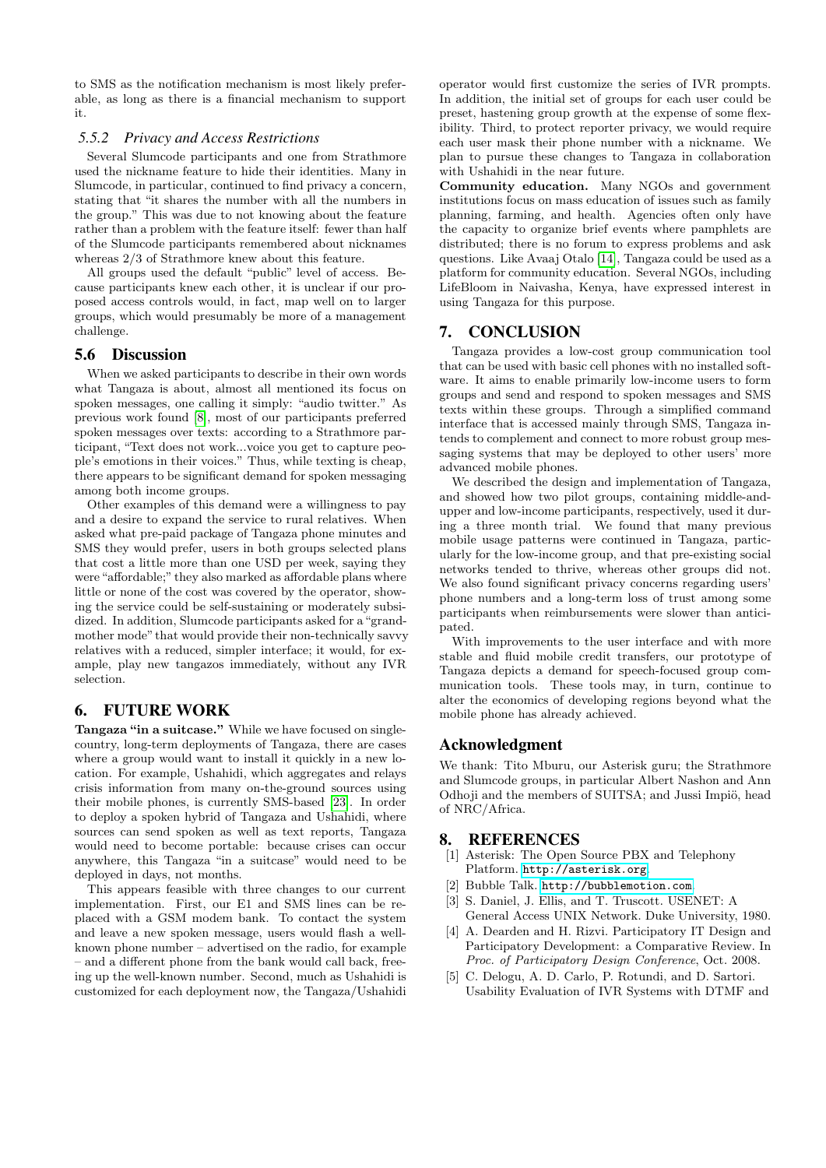to SMS as the notification mechanism is most likely preferable, as long as there is a financial mechanism to support it.

#### *5.5.2 Privacy and Access Restrictions*

Several Slumcode participants and one from Strathmore used the nickname feature to hide their identities. Many in Slumcode, in particular, continued to find privacy a concern, stating that "it shares the number with all the numbers in the group." This was due to not knowing about the feature rather than a problem with the feature itself: fewer than half of the Slumcode participants remembered about nicknames whereas 2/3 of Strathmore knew about this feature.

All groups used the default "public" level of access. Because participants knew each other, it is unclear if our proposed access controls would, in fact, map well on to larger groups, which would presumably be more of a management challenge.

# <span id="page-8-7"></span>5.6 Discussion

When we asked participants to describe in their own words what Tangaza is about, almost all mentioned its focus on spoken messages, one calling it simply: "audio twitter." As previous work found [\[8\]](#page-9-2), most of our participants preferred spoken messages over texts: according to a Strathmore participant, "Text does not work...voice you get to capture people's emotions in their voices." Thus, while texting is cheap, there appears to be significant demand for spoken messaging among both income groups.

Other examples of this demand were a willingness to pay and a desire to expand the service to rural relatives. When asked what pre-paid package of Tangaza phone minutes and SMS they would prefer, users in both groups selected plans that cost a little more than one USD per week, saying they were "affordable;" they also marked as affordable plans where little or none of the cost was covered by the operator, showing the service could be self-sustaining or moderately subsidized. In addition, Slumcode participants asked for a"grandmother mode" that would provide their non-technically savvy relatives with a reduced, simpler interface; it would, for example, play new tangazos immediately, without any IVR selection.

# <span id="page-8-1"></span>6. FUTURE WORK

Tangaza "in a suitcase." While we have focused on singlecountry, long-term deployments of Tangaza, there are cases where a group would want to install it quickly in a new location. For example, Ushahidi, which aggregates and relays crisis information from many on-the-ground sources using their mobile phones, is currently SMS-based [\[23\]](#page-9-19). In order to deploy a spoken hybrid of Tangaza and Ushahidi, where sources can send spoken as well as text reports, Tangaza would need to become portable: because crises can occur anywhere, this Tangaza "in a suitcase" would need to be deployed in days, not months.

This appears feasible with three changes to our current implementation. First, our E1 and SMS lines can be replaced with a GSM modem bank. To contact the system and leave a new spoken message, users would flash a wellknown phone number – advertised on the radio, for example – and a different phone from the bank would call back, freeing up the well-known number. Second, much as Ushahidi is customized for each deployment now, the Tangaza/Ushahidi

operator would first customize the series of IVR prompts. In addition, the initial set of groups for each user could be preset, hastening group growth at the expense of some flexibility. Third, to protect reporter privacy, we would require each user mask their phone number with a nickname. We plan to pursue these changes to Tangaza in collaboration with Ushahidi in the near future.

Community education. Many NGOs and government institutions focus on mass education of issues such as family planning, farming, and health. Agencies often only have the capacity to organize brief events where pamphlets are distributed; there is no forum to express problems and ask questions. Like Avaaj Otalo [\[14\]](#page-9-20), Tangaza could be used as a platform for community education. Several NGOs, including LifeBloom in Naivasha, Kenya, have expressed interest in using Tangaza for this purpose.

## <span id="page-8-2"></span>7. CONCLUSION

Tangaza provides a low-cost group communication tool that can be used with basic cell phones with no installed software. It aims to enable primarily low-income users to form groups and send and respond to spoken messages and SMS texts within these groups. Through a simplified command interface that is accessed mainly through SMS, Tangaza intends to complement and connect to more robust group messaging systems that may be deployed to other users' more advanced mobile phones.

We described the design and implementation of Tangaza, and showed how two pilot groups, containing middle-andupper and low-income participants, respectively, used it during a three month trial. We found that many previous mobile usage patterns were continued in Tangaza, particularly for the low-income group, and that pre-existing social networks tended to thrive, whereas other groups did not. We also found significant privacy concerns regarding users' phone numbers and a long-term loss of trust among some participants when reimbursements were slower than anticipated.

With improvements to the user interface and with more stable and fluid mobile credit transfers, our prototype of Tangaza depicts a demand for speech-focused group communication tools. These tools may, in turn, continue to alter the economics of developing regions beyond what the mobile phone has already achieved.

#### Acknowledgment

We thank: Tito Mburu, our Asterisk guru; the Strathmore and Slumcode groups, in particular Albert Nashon and Ann Odhoji and the members of SUITSA; and Jussi Impiö, head of NRC/Africa.

#### 8. REFERENCES

- <span id="page-8-6"></span>[1] Asterisk: The Open Source PBX and Telephony Platform. <http://asterisk.org>.
- <span id="page-8-3"></span>[2] Bubble Talk. <http://bubblemotion.com>.
- <span id="page-8-0"></span>[3] S. Daniel, J. Ellis, and T. Truscott. USENET: A General Access UNIX Network. Duke University, 1980.
- <span id="page-8-5"></span>[4] A. Dearden and H. Rizvi. Participatory IT Design and Participatory Development: a Comparative Review. In Proc. of Participatory Design Conference, Oct. 2008.
- <span id="page-8-4"></span>[5] C. Delogu, A. D. Carlo, P. Rotundi, and D. Sartori. Usability Evaluation of IVR Systems with DTMF and